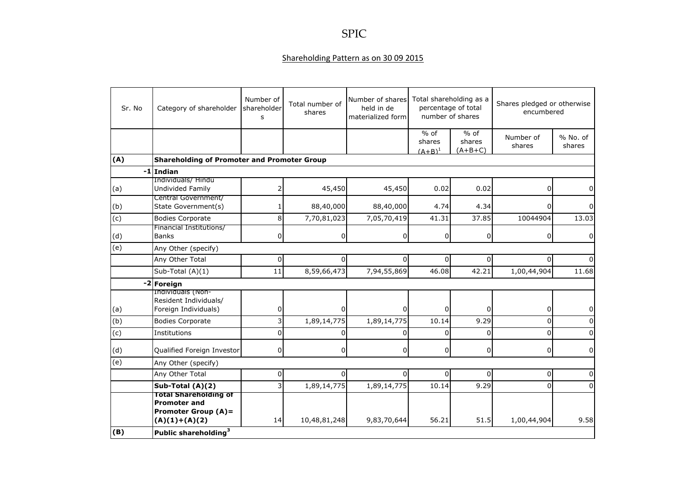## SPIC

## Shareholding Pattern as on 30 09 2015

| Sr. No | Category of shareholder                                                                              | Number of<br>shareholder<br>S | Total number of<br>shares | Number of shares<br>held in de<br>materialized form | Total shareholding as a<br>percentage of total<br>number of shares |                                         | Shares pledged or otherwise<br>encumbered |                    |
|--------|------------------------------------------------------------------------------------------------------|-------------------------------|---------------------------|-----------------------------------------------------|--------------------------------------------------------------------|-----------------------------------------|-------------------------------------------|--------------------|
|        |                                                                                                      |                               |                           |                                                     | $%$ of<br>shares<br>$(A+B)^1$                                      | $\frac{1}{6}$ of<br>shares<br>$(A+B+C)$ | Number of<br>shares                       | % No. of<br>shares |
| (A)    | <b>Shareholding of Promoter and Promoter Group</b>                                                   |                               |                           |                                                     |                                                                    |                                         |                                           |                    |
|        | -1 Indian                                                                                            |                               |                           |                                                     |                                                                    |                                         |                                           |                    |
| (a)    | Individuals/ Hindu<br><b>Undivided Family</b>                                                        |                               | 45,450                    | 45,450                                              | 0.02                                                               | 0.02                                    | 0                                         |                    |
| (b)    | Central Government/<br>State Government(s)                                                           |                               | 88,40,000                 | 88,40,000                                           | 4.74                                                               | 4.34                                    | 0                                         |                    |
| (c)    | <b>Bodies Corporate</b>                                                                              | 8                             | 7,70,81,023               | 7,05,70,419                                         | 41.31                                                              | 37.85                                   | 10044904                                  | 13.03              |
| (d)    | Financial Institutions/<br><b>Banks</b>                                                              | 0                             | 0                         | 0                                                   | $\overline{0}$                                                     | $\overline{0}$                          | 0                                         | 0                  |
| (e)    | Any Other (specify)                                                                                  |                               |                           |                                                     |                                                                    |                                         |                                           |                    |
|        | Any Other Total                                                                                      | $\mathbf 0$                   | 0                         | $\Omega$                                            | $\Omega$                                                           | $\overline{0}$                          | $\Omega$                                  |                    |
|        | Sub-Total (A)(1)                                                                                     | 11                            | 8,59,66,473               | 7,94,55,869                                         | 46.08                                                              | 42.21                                   | 1,00,44,904                               | 11.68              |
|        | -2 Foreign                                                                                           |                               |                           |                                                     |                                                                    |                                         |                                           |                    |
| (a)    | Individuals (Non-<br>Resident Individuals/<br>Foreign Individuals)                                   | 0                             |                           |                                                     | U                                                                  | $\Omega$                                | 0                                         | 0                  |
| (b)    | <b>Bodies Corporate</b>                                                                              | 3                             | 1,89,14,775               | 1,89,14,775                                         | 10.14                                                              | 9.29                                    | $\Omega$                                  | <sup>0</sup>       |
| (c)    | Institutions                                                                                         | $\Omega$                      | U                         | $\Omega$                                            | $\Omega$                                                           | $\overline{0}$                          | 0                                         | O                  |
| (d)    | Qualified Foreign Investor                                                                           | $\mathbf{0}$                  | $\overline{0}$            | 0                                                   | $\Omega$                                                           | $\overline{0}$                          | 0                                         | $\overline{0}$     |
| (e)    | Any Other (specify)                                                                                  |                               |                           |                                                     |                                                                    |                                         |                                           |                    |
|        | Any Other Total                                                                                      | 0                             | $\Omega$                  | 0                                                   | 0                                                                  | $\Omega$                                | 0                                         | $\Omega$           |
|        | Sub-Total (A)(2)                                                                                     | $\overline{3}$                | 1,89,14,775               | 1,89,14,775                                         | 10.14                                                              | 9.29                                    | 0                                         | 0                  |
|        | <b>Total Shareholding of</b><br><b>Promoter and</b><br><b>Promoter Group (A)=</b><br>$(A)(1)+(A)(2)$ | 14                            | 10,48,81,248              | 9,83,70,644                                         | 56.21                                                              | 51.5                                    | 1,00,44,904                               | 9.58               |
| (B)    | Public shareholding <sup>3</sup>                                                                     |                               |                           |                                                     |                                                                    |                                         |                                           |                    |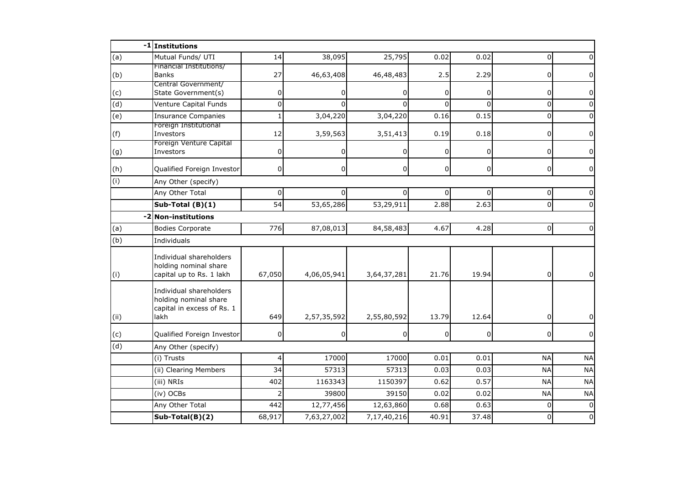|      | -1 Institutions                                                                        |                |                |                |          |                |                |           |
|------|----------------------------------------------------------------------------------------|----------------|----------------|----------------|----------|----------------|----------------|-----------|
| (a)  | Mutual Funds/ UTI                                                                      | 14             | 38,095         | 25,795         | 0.02     | 0.02           | $\Omega$       |           |
| (b)  | Financial Institutions/<br><b>Banks</b>                                                | 27             | 46,63,408      | 46,48,483      | 2.5      | 2.29           | 0              |           |
| (c)  | Central Government/<br>State Government(s)                                             | 0              | 0              | 0              | $\Omega$ | $\overline{0}$ | 0              | 0         |
| (d)  | Venture Capital Funds                                                                  | $\mathbf 0$    | $\Omega$       | $\Omega$       | ΩI       | $\Omega$       | 0              | O         |
| (e)  | <b>Insurance Companies</b>                                                             | $\mathbf{1}$   | 3,04,220       | 3,04,220       | 0.16     | 0.15           | $\mathbf 0$    |           |
| (f)  | Foreign Institutional<br>Investors                                                     | 12             | 3,59,563       | 3,51,413       | 0.19     | 0.18           | 0              | 0         |
| (g)  | Foreign Venture Capital<br>Investors                                                   | 0              |                | 0              | 0        | $\overline{0}$ | 0              | 0         |
| (h)  | Qualified Foreign Investor                                                             | 0              | $\overline{0}$ | $\overline{0}$ | 0        | $\overline{0}$ | $\overline{0}$ | 0         |
| (i)  | Any Other (specify)                                                                    |                |                |                |          |                |                |           |
|      | Any Other Total                                                                        | 0              |                | 0              | 0        | $\Omega$       | 0              |           |
|      | Sub-Total (B)(1)                                                                       | 54             | 53,65,286      | 53,29,911      | 2.88     | 2.63           | $\mathbf 0$    |           |
| $-2$ | <b>Non-institutions</b>                                                                |                |                |                |          |                |                |           |
| (a)  | <b>Bodies Corporate</b>                                                                | 776            | 87,08,013      | 84,58,483      | 4.67     | 4.28           | $\overline{0}$ | $\Omega$  |
| (b)  | Individuals                                                                            |                |                |                |          |                |                |           |
| (i)  | Individual shareholders<br>holding nominal share<br>capital up to Rs. 1 lakh           | 67,050         | 4,06,05,941    | 3,64,37,281    | 21.76    | 19.94          | $\overline{0}$ | 0         |
| (i)  | Individual shareholders<br>holding nominal share<br>capital in excess of Rs. 1<br>lakh | 649            | 2,57,35,592    | 2,55,80,592    | 13.79    | 12.64          | 0              |           |
| (c)  | Qualified Foreign Investor                                                             | 0              | 0              | 0              | 0        | $\overline{0}$ | 0              | $\Omega$  |
| (d)  | Any Other (specify)                                                                    |                |                |                |          |                |                |           |
|      | (i) Trusts                                                                             | 4              | 17000          | 17000          | 0.01     | 0.01           | <b>NA</b>      | <b>NA</b> |
|      | (ii) Clearing Members                                                                  | 34             | 57313          | 57313          | 0.03     | 0.03           | <b>NA</b>      | <b>NA</b> |
|      | (iii) NRIs                                                                             | 402            | 1163343        | 1150397        | 0.62     | 0.57           | <b>NA</b>      | <b>NA</b> |
|      | (iv) OCBs                                                                              | $\overline{2}$ | 39800          | 39150          | 0.02     | 0.02           | <b>NA</b>      | <b>NA</b> |
|      | Any Other Total                                                                        | 442            | 12,77,456      | 12,63,860      | 0.68     | 0.63           | $\Omega$       | $\Omega$  |
|      | Sub-Total(B)(2)                                                                        | 68,917         | 7,63,27,002    | 7,17,40,216    | 40.91    | 37.48          | $\Omega$       | $\Omega$  |
|      |                                                                                        |                |                |                |          |                |                |           |